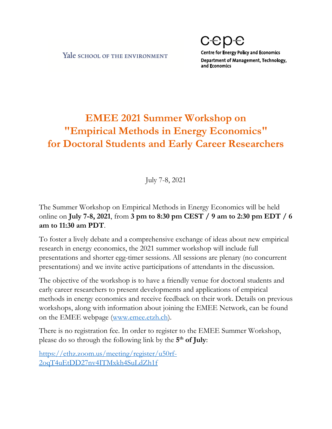Yale school of the ENVIRONMENT

CEDE **Centre for Energy Policy and Economics** Department of Management, Technology, and Economics

## **EMEE 2021 Summer Workshop on "Empirical Methods in Energy Economics" for Doctoral Students and Early Career Researchers**

July 7-8, 2021

The Summer Workshop on Empirical Methods in Energy Economics will be held online on **July 7-8, 2021**, from **3 pm to 8:30 pm CEST / 9 am to 2:30 pm EDT / 6 am to 11:30 am PDT**.

To foster a lively debate and a comprehensive exchange of ideas about new empirical research in energy economics, the 2021 summer workshop will include full presentations and shorter egg-timer sessions. All sessions are plenary (no concurrent presentations) and we invite active participations of attendants in the discussion.

The objective of the workshop is to have a friendly venue for doctoral students and early career researchers to present developments and applications of empirical methods in energy economics and receive feedback on their work. Details on previous workshops, along with information about joining the EMEE Network, can be found on the EMEE webpage [\(www.emee.etzh.ch\)](http://www.emee.etzh.ch/).

There is no registration fee. In order to register to the EMEE Summer Workshop, please do so through the following link by the **5 th of July**:

[https://ethz.zoom.us/meeting/register/u50rf-](https://ethz.zoom.us/meeting/register/u50rf-2oqT4uEtDD27nv4ITMxkh4SuLdZh1f)[2oqT4uEtDD27nv4ITMxkh4SuLdZh1f](https://ethz.zoom.us/meeting/register/u50rf-2oqT4uEtDD27nv4ITMxkh4SuLdZh1f)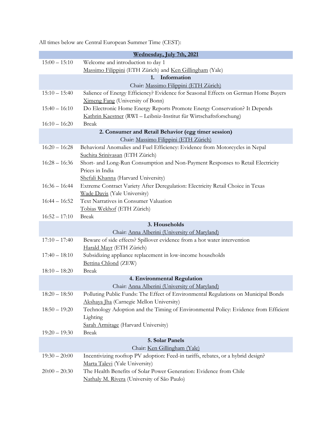All times below are Central European Summer Time (CEST):

| Wednesday, July 7th, 2021    |                                                                                                                                 |  |
|------------------------------|---------------------------------------------------------------------------------------------------------------------------------|--|
| $15:00 - 15:10$              | Welcome and introduction to day 1                                                                                               |  |
|                              | Massimo Filippini (ETH Zürich) and Ken Gillingham (Yale)                                                                        |  |
|                              | Information<br>1.                                                                                                               |  |
|                              | Chair: Massimo Filippini (ETH Zürich)                                                                                           |  |
| $15:10 - 15:40$              | Salience of Energy Efficiency? Evidence for Seasonal Effects on German Home Buyers                                              |  |
|                              | Ximeng Fang (University of Bonn)                                                                                                |  |
| $15:40 - 16:10$              | Do Electronic Home Energy Reports Promote Energy Conservation? It Depends                                                       |  |
|                              | Kathrin Kaestner (RWI - Leibniz-Institut für Wirtschaftsforschung)                                                              |  |
| $16:10 - 16:20$              | <b>Break</b>                                                                                                                    |  |
|                              | 2. Consumer and Retail Behavior (egg timer session)                                                                             |  |
|                              | Chair: Massimo Filippini (ETH Zürich)                                                                                           |  |
| $16:20 - 16:28$              | Behavioral Anomalies and Fuel Efficiency: Evidence from Motorcycles in Nepal                                                    |  |
| $16:28 - 16:36$              | Suchita Srinivasan (ETH Zürich)                                                                                                 |  |
|                              | Short- and Long-Run Consumption and Non-Payment Responses to Retail Electricity<br>Prices in India                              |  |
|                              | Shefali Khanna (Harvard University)                                                                                             |  |
| $16:36 - 16:44$              | Extreme Contract Variety After Deregulation: Electricity Retail Choice in Texas                                                 |  |
|                              | Wade Davis (Yale University)                                                                                                    |  |
| $16:44 - 16:52$              | Text Narratives in Consumer Valuation                                                                                           |  |
|                              | Tobias Wekhof (ETH Zürich)                                                                                                      |  |
| $16:52 - 17:10$              | <b>Break</b>                                                                                                                    |  |
|                              | 3. Households                                                                                                                   |  |
|                              | Chair: Anna Alberini (University of Maryland)                                                                                   |  |
| $17:10 - 17:40$              | Beware of side effects? Spillover evidence from a hot water intervention                                                        |  |
|                              | Harald Mayr (ETH Zürich)                                                                                                        |  |
| $17:40 - 18:10$              | Subsidizing appliance replacement in low-income households                                                                      |  |
|                              | Bettina Chlond (ZEW)                                                                                                            |  |
| $18:10 - 18:20$              | <b>Break</b>                                                                                                                    |  |
| 4. Environmental Regulation  |                                                                                                                                 |  |
|                              | Chair: Anna Alberini (University of Maryland)                                                                                   |  |
| $18:20 - 18:50$              | Polluting Public Funds: The Effect of Environmental Regulations on Municipal Bonds                                              |  |
| $18:50 - 19:20$              | Akshaya Jha (Carnegie Mellon University)<br>Technology Adoption and the Timing of Environmental Policy: Evidence from Efficient |  |
|                              | Lighting                                                                                                                        |  |
|                              | Sarah Armitage (Harvard University)                                                                                             |  |
| $19:20 - 19:30$              | <b>Break</b>                                                                                                                    |  |
|                              | 5. Solar Panels                                                                                                                 |  |
| Chair: Ken Gillingham (Yale) |                                                                                                                                 |  |
| $19:30 - 20:00$              | Incentivizing rooftop PV adoption: Feed-in tariffs, rebates, or a hybrid design?                                                |  |
|                              | Marta Talevi (Yale University)                                                                                                  |  |
| $20:00 - 20:30$              | The Health Benefits of Solar Power Generation: Evidence from Chile                                                              |  |
|                              | Nathaly M. Rivera (University of São Paulo)                                                                                     |  |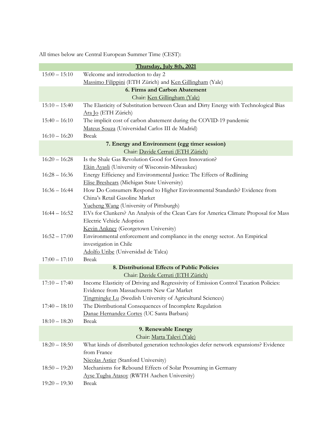All times below are Central European Summer Time (CEST):

| Welcome and introduction to day 2<br>$15:00 - 15:10$<br>Massimo Filippini (ETH Zürich) and Ken Gillingham (Yale)<br><b>6. Firms and Carbon Abatement</b><br>Chair: Ken Gillingham (Yale)<br>$15:10 - 15:40$<br>The Elasticity of Substitution between Clean and Dirty Energy with Technological Bias<br>Ara Jo (ETH Zürich)<br>The implicit cost of carbon abatement during the COVID-19 pandemic<br>$15:40 - 16:10$<br>Mateus Souza (Universidad Carlos III de Madrid)<br>$16:10 - 16:20$<br><b>Break</b> |                                               | Thursday, July 8th, 2021 |  |
|------------------------------------------------------------------------------------------------------------------------------------------------------------------------------------------------------------------------------------------------------------------------------------------------------------------------------------------------------------------------------------------------------------------------------------------------------------------------------------------------------------|-----------------------------------------------|--------------------------|--|
|                                                                                                                                                                                                                                                                                                                                                                                                                                                                                                            |                                               |                          |  |
|                                                                                                                                                                                                                                                                                                                                                                                                                                                                                                            |                                               |                          |  |
|                                                                                                                                                                                                                                                                                                                                                                                                                                                                                                            |                                               |                          |  |
|                                                                                                                                                                                                                                                                                                                                                                                                                                                                                                            |                                               |                          |  |
|                                                                                                                                                                                                                                                                                                                                                                                                                                                                                                            |                                               |                          |  |
|                                                                                                                                                                                                                                                                                                                                                                                                                                                                                                            |                                               |                          |  |
|                                                                                                                                                                                                                                                                                                                                                                                                                                                                                                            |                                               |                          |  |
|                                                                                                                                                                                                                                                                                                                                                                                                                                                                                                            | 7. Energy and Environment (egg timer session) |                          |  |
| Chair: Davide Cerruti (ETH Zürich)                                                                                                                                                                                                                                                                                                                                                                                                                                                                         |                                               |                          |  |
| $16:20 - 16:28$<br>Is the Shale Gas Revolution Good for Green Innovation?                                                                                                                                                                                                                                                                                                                                                                                                                                  |                                               |                          |  |
| Ekin Ayasli (University of Wisconsin-Milwaukee)                                                                                                                                                                                                                                                                                                                                                                                                                                                            |                                               |                          |  |
| $16:28 - 16:36$<br>Energy Efficiency and Environmental Justice: The Effects of Redlining                                                                                                                                                                                                                                                                                                                                                                                                                   |                                               |                          |  |
| Elise Breshears (Michigan State University)                                                                                                                                                                                                                                                                                                                                                                                                                                                                |                                               |                          |  |
| How Do Consumers Respond to Higher Environmental Standards? Evidence from<br>$16:36 - 16:44$                                                                                                                                                                                                                                                                                                                                                                                                               |                                               |                          |  |
| China's Retail Gasoline Market                                                                                                                                                                                                                                                                                                                                                                                                                                                                             |                                               |                          |  |
| Yucheng Wang (University of Pittsburgh)                                                                                                                                                                                                                                                                                                                                                                                                                                                                    |                                               |                          |  |
| $16:44 - 16:52$<br>EVs for Clunkers? An Analysis of the Clean Cars for America Climate Proposal for Mass                                                                                                                                                                                                                                                                                                                                                                                                   |                                               |                          |  |
| Electric Vehicle Adoption                                                                                                                                                                                                                                                                                                                                                                                                                                                                                  |                                               |                          |  |
| Kevin Ankney (Georgetown University)                                                                                                                                                                                                                                                                                                                                                                                                                                                                       |                                               |                          |  |
| $16:52 - 17:00$<br>Environmental enforcement and compliance in the energy sector. An Empirical                                                                                                                                                                                                                                                                                                                                                                                                             |                                               |                          |  |
| investigation in Chile                                                                                                                                                                                                                                                                                                                                                                                                                                                                                     |                                               |                          |  |
| Adolfo Uribe (Universidad de Talca)                                                                                                                                                                                                                                                                                                                                                                                                                                                                        |                                               |                          |  |
| $17:00 - 17:10$<br><b>Break</b>                                                                                                                                                                                                                                                                                                                                                                                                                                                                            |                                               |                          |  |
| 8. Distributional Effects of Public Policies                                                                                                                                                                                                                                                                                                                                                                                                                                                               |                                               |                          |  |
| Chair: Davide Cerruti (ETH Zürich)                                                                                                                                                                                                                                                                                                                                                                                                                                                                         |                                               |                          |  |
| $17:10 - 17:40$<br>Income Elasticity of Driving and Regressivity of Emission Control Taxation Policies:                                                                                                                                                                                                                                                                                                                                                                                                    |                                               |                          |  |
| Evidence from Massachusetts New Car Market                                                                                                                                                                                                                                                                                                                                                                                                                                                                 |                                               |                          |  |
| Tingmingke Lu (Swedish University of Agricultural Sciences)                                                                                                                                                                                                                                                                                                                                                                                                                                                |                                               |                          |  |
| The Distributional Consequences of Incomplete Regulation<br>$17:40 - 18:10$                                                                                                                                                                                                                                                                                                                                                                                                                                |                                               |                          |  |
| Danae Hernandez Cortes (UC Santa Barbara)                                                                                                                                                                                                                                                                                                                                                                                                                                                                  |                                               |                          |  |
| $18:10 - 18:20$<br><b>Break</b>                                                                                                                                                                                                                                                                                                                                                                                                                                                                            |                                               |                          |  |
| 9. Renewable Energy                                                                                                                                                                                                                                                                                                                                                                                                                                                                                        |                                               |                          |  |
| Chair: Marta Talevi (Yale)<br>$18:20 - 18:50$                                                                                                                                                                                                                                                                                                                                                                                                                                                              |                                               |                          |  |
| What kinds of distributed generation technologies defer network expansions? Evidence<br>from France                                                                                                                                                                                                                                                                                                                                                                                                        |                                               |                          |  |
| <b>Nicolas Astier</b> (Stanford University)                                                                                                                                                                                                                                                                                                                                                                                                                                                                |                                               |                          |  |
| Mechanisms for Rebound Effects of Solar Prosuming in Germany<br>$18:50 - 19:20$                                                                                                                                                                                                                                                                                                                                                                                                                            |                                               |                          |  |
| Ayse Tugba Atasoy (RWTH Aachen University)                                                                                                                                                                                                                                                                                                                                                                                                                                                                 |                                               |                          |  |
| <b>Break</b><br>$19:20 - 19:30$                                                                                                                                                                                                                                                                                                                                                                                                                                                                            |                                               |                          |  |